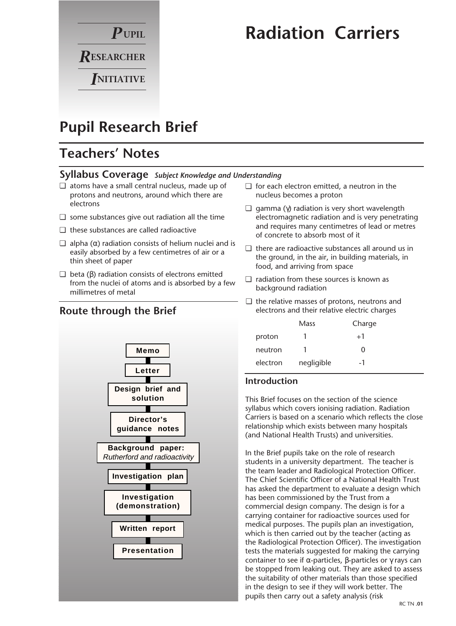

# **Radiation Carriers**

# **Pupil Research Brief**

# **Teachers' Notes**

### **Syllabus Coverage** *Subject Knowledge and Understanding*

- ❏ atoms have a small central nucleus, made up of protons and neutrons, around which there are electrons
- ❏ some substances give out radiation all the time
- ❏ these substances are called radioactive
- $\Box$  alpha (α) radiation consists of helium nuclei and is easily absorbed by a few centimetres of air or a thin sheet of paper
- $\Box$  beta (β) radiation consists of electrons emitted from the nuclei of atoms and is absorbed by a few millimetres of metal

# **Route through the Brief**



- ❏ for each electron emitted, a neutron in the nucleus becomes a proton
- $\Box$  gamma (γ) radiation is very short wavelength electromagnetic radiation and is very penetrating and requires many centimetres of lead or metres of concrete to absorb most of it
- ❏ there are radioactive substances all around us in the ground, in the air, in building materials, in food, and arriving from space
- ❏ radiation from these sources is known as background radiation
- ❏ the relative masses of protons, neutrons and electrons and their relative electric charges

|          | Mass       | Charge |  |
|----------|------------|--------|--|
| proton   | T          | $+1$   |  |
| neutron  | т          | 0      |  |
| electron | negligible | -1     |  |

## **Introduction**

This Brief focuses on the section of the science syllabus which covers ionising radiation. Radiation Carriers is based on a scenario which reflects the close relationship which exists between many hospitals (and National Health Trusts) and universities.

In the Brief pupils take on the role of research students in a university department. The teacher is the team leader and Radiological Protection Officer. The Chief Scientific Officer of a National Health Trust has asked the department to evaluate a design which has been commissioned by the Trust from a commercial design company. The design is for a carrying container for radioactive sources used for medical purposes. The pupils plan an investigation, which is then carried out by the teacher (acting as the Radiological Protection Officer). The investigation tests the materials suggested for making the carrying container to see if α-particles, β-particles or  $\gamma$  rays can be stopped from leaking out. They are asked to assess the suitability of other materials than those specified in the design to see if they will work better. The pupils then carry out a safety analysis (risk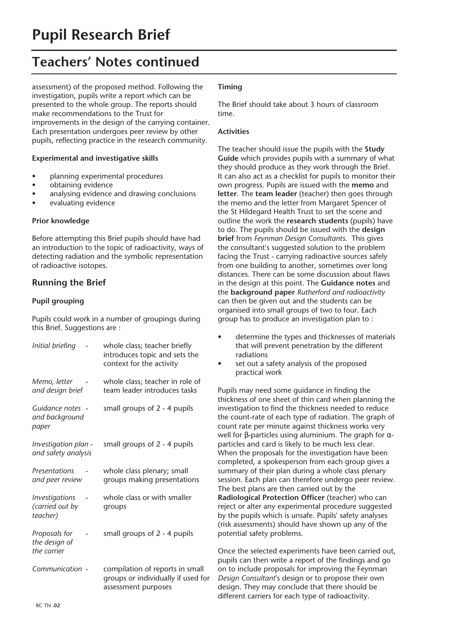# **Teachers' Notes continued**

assessment) of the proposed method. Following the investigation, pupils write a report which can be presented to the whole group. The reports should make recommendations to the Trust for improvements in the design of the carrying container. Each presentation undergoes peer review by other pupils, reflecting practice in the research community.

#### **Experimental and investigative skills**

- planning experimental procedures
- obtaining evidence
- analysing evidence and drawing conclusions
- evaluating evidence

#### **Prior knowledge**

Before attempting this Brief pupils should have had an introduction to the topic of radioactivity, ways of detecting radiation and the symbolic representation of radioactive isotopes.

### **Running the Brief**

#### **Pupil grouping**

Pupils could work in a number of groupings during this Brief. Suggestions are :

| Initial briefing                                                   | whole class; teacher briefly<br>introduces topic and sets the<br>context for the activity    |
|--------------------------------------------------------------------|----------------------------------------------------------------------------------------------|
| Memo, letter<br>and design brief                                   | whole class; teacher in role of<br>team leader introduces tasks                              |
| Guidance notes -<br>and background<br>paper                        | small groups of 2 - 4 pupils                                                                 |
| Investigation plan -<br>and safety analysis                        | small groups of 2 - 4 pupils                                                                 |
| Presentations<br>and peer review                                   | whole class plenary; small<br>groups making presentations                                    |
| <i><u><b>Investigations</b></u></i><br>(carried out by<br>teacher) | whole class or with smaller<br>groups                                                        |
| Proposals for<br>the design of<br>the carrier                      | small groups of 2 - 4 pupils                                                                 |
| Communication -                                                    | compilation of reports in small<br>groups or individually if used for<br>assessment purposes |

#### **Timing**

The Brief should take about 3 hours of classroom time.

#### **Activities**

The teacher should issue the pupils with the **Study Guide** which provides pupils with a summary of what they should produce as they work through the Brief. It can also act as a checklist for pupils to monitor their own progress. Pupils are issued with the **memo** and **letter**. The **team leader** (teacher) then goes through the memo and the letter from Margaret Spencer of the St Hildegard Health Trust to set the scene and outline the work the **research students** (pupils) have to do. The pupils should be issued with the **design brief** from *Feynman Design Consultants*. This gives the consultant's suggested solution to the problem facing the Trust - carrying radioactive sources safely from one building to another, sometimes over long distances. There can be some discussion about flaws in the design at this point. The **Guidance notes** and the **background paper** *Rutherford and radioactivity* can then be given out and the students can be organised into small groups of two to four. Each group has to produce an investigation plan to :

- determine the types and thicknesses of materials that will prevent penetration by the different radiations
- set out a safety analysis of the proposed practical work

Pupils may need some guidance in finding the thickness of one sheet of thin card when planning the investigation to find the thickness needed to reduce the count-rate of each type of radiation. The graph of count rate per minute against thickness works very well for β-particles using aluminium. The graph for  $α$ particles and card is likely to be much less clear. When the proposals for the investigation have been completed, a spokesperson from each group gives a summary of their plan during a whole class plenary session. Each plan can therefore undergo peer review. The best plans are then carried out by the **Radiological Protection Officer** (teacher) who can reject or alter any experimental procedure suggested by the pupils which is unsafe. Pupils' safety analyses (risk assessments) should have shown up any of the potential safety problems.

Once the selected experiments have been carried out, pupils can then write a report of the findings and go on to include proposals for improving the Feynman *Design Consultant*'s design or to propose their own design. They may conclude that there should be different carriers for each type of radioactivity.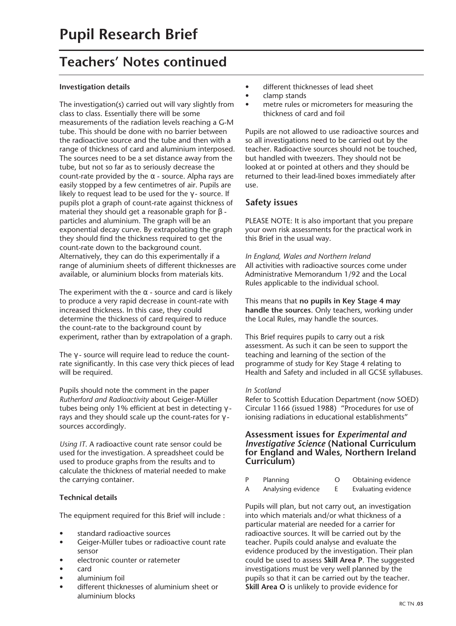# **Teachers' Notes continued**

#### **Investigation details**

The investigation(s) carried out will vary slightly from class to class. Essentially there will be some measurements of the radiation levels reaching a G-M tube. This should be done with no barrier between the radioactive source and the tube and then with a range of thickness of card and aluminium interposed. The sources need to be a set distance away from the tube, but not so far as to seriously decrease the count-rate provided by the  $\alpha$  - source. Alpha rays are easily stopped by a few centimetres of air. Pupils are likely to request lead to be used for the  $\gamma$ -source. If pupils plot a graph of count-rate against thickness of material they should get a reasonable graph for β particles and aluminium. The graph will be an exponential decay curve. By extrapolating the graph they should find the thickness required to get the count-rate down to the background count. Alternatively, they can do this experimentally if a range of aluminium sheets of different thicknesses are available, or aluminium blocks from materials kits.

The experiment with the  $\alpha$  - source and card is likely to produce a very rapid decrease in count-rate with increased thickness. In this case, they could determine the thickness of card required to reduce the count-rate to the background count by experiment, rather than by extrapolation of a graph.

The  $\gamma$  - source will require lead to reduce the countrate significantly. In this case very thick pieces of lead will be required.

Pupils should note the comment in the paper *Rutherford and Radioactivity* about Geiger-Müller tubes being only 1% efficient at best in detecting γ rays and they should scale up the count-rates for  $\gamma$  sources accordingly.

*Using IT*. A radioactive count rate sensor could be used for the investigation. A spreadsheet could be used to produce graphs from the results and to calculate the thickness of material needed to make the carrying container.

#### **Technical details**

The equipment required for this Brief will include :

- standard radioactive sources
- Geiger-Müller tubes or radioactive count rate sensor
- electronic counter or ratemeter
- card
- aluminium foil
- different thicknesses of aluminium sheet or aluminium blocks
- different thicknesses of lead sheet
- clamp stands
- metre rules or micrometers for measuring the thickness of card and foil

Pupils are not allowed to use radioactive sources and so all investigations need to be carried out by the teacher. Radioactive sources should not be touched, but handled with tweezers. They should not be looked at or pointed at others and they should be returned to their lead-lined boxes immediately after use.

### **Safety issues**

PLEASE NOTE: It is also important that you prepare your own risk assessments for the practical work in this Brief in the usual way.

*In England, Wales and Northern Ireland* All activities with radioactive sources come under Administrative Memorandum 1/92 and the Local Rules applicable to the individual school.

This means that **no pupils in Key Stage 4 may handle the sources**. Only teachers, working under the Local Rules, may handle the sources.

This Brief requires pupils to carry out a risk assessment. As such it can be seen to support the teaching and learning of the section of the programme of study for Key Stage 4 relating to Health and Safety and included in all GCSE syllabuses.

#### *In Scotland*

Refer to Scottish Education Department (now SOED) Circular 1166 (issued 1988) "Procedures for use of ionising radiations in educational establishments"

#### **Assessment issues for** *Experimental and Investigative Science* **(National Curriculum for England and Wales, Northern Ireland Curriculum)**

P Planning O Obtaining evidence A Analysing evidence E Evaluating evidence

Pupils will plan, but not carry out, an investigation into which materials and/or what thickness of a particular material are needed for a carrier for radioactive sources. It will be carried out by the teacher. Pupils could analyse and evaluate the evidence produced by the investigation. Their plan could be used to assess **Skill Area P**. The suggested investigations must be very well planned by the pupils so that it can be carried out by the teacher. **Skill Area O** is unlikely to provide evidence for